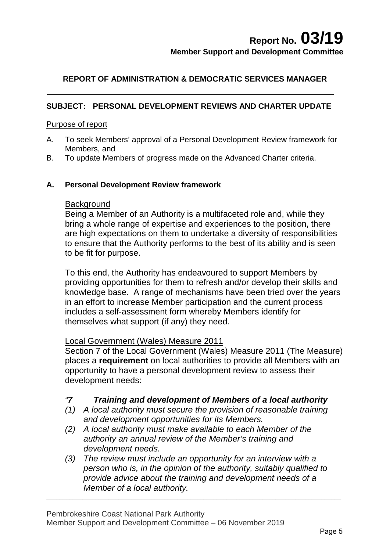## **REPORT OF ADMINISTRATION & DEMOCRATIC SERVICES MANAGER**

### **SUBJECT: PERSONAL DEVELOPMENT REVIEWS AND CHARTER UPDATE**

#### Purpose of report

- A. To seek Members' approval of a Personal Development Review framework for Members, and
- B. To update Members of progress made on the Advanced Charter criteria.

#### **A. Personal Development Review framework**

#### **Background**

Being a Member of an Authority is a multifaceted role and, while they bring a whole range of expertise and experiences to the position, there are high expectations on them to undertake a diversity of responsibilities to ensure that the Authority performs to the best of its ability and is seen to be fit for purpose.

To this end, the Authority has endeavoured to support Members by providing opportunities for them to refresh and/or develop their skills and knowledge base. A range of mechanisms have been tried over the years in an effort to increase Member participation and the current process includes a self-assessment form whereby Members identify for themselves what support (if any) they need.

#### Local Government (Wales) Measure 2011

Section 7 of the Local Government (Wales) Measure 2011 (The Measure) places a **requirement** on local authorities to provide all Members with an opportunity to have a personal development review to assess their development needs:

#### *"7 Training and development of Members of a local authority*

- *(1) A local authority must secure the provision of reasonable training and development opportunities for its Members.*
- *(2) A local authority must make available to each Member of the authority an annual review of the Member's training and development needs.*
- *(3) The review must include an opportunity for an interview with a person who is, in the opinion of the authority, suitably qualified to provide advice about the training and development needs of a Member of a local authority.*

 $\_$  ,  $\_$  ,  $\_$  ,  $\_$  ,  $\_$  ,  $\_$  ,  $\_$  ,  $\_$  ,  $\_$  ,  $\_$  ,  $\_$  ,  $\_$  ,  $\_$  ,  $\_$  ,  $\_$  ,  $\_$  ,  $\_$  ,  $\_$  ,  $\_$  ,  $\_$  ,  $\_$  ,  $\_$  ,  $\_$  ,  $\_$  ,  $\_$  ,  $\_$  ,  $\_$  ,  $\_$  ,  $\_$  ,  $\_$  ,  $\_$  ,  $\_$  ,  $\_$  ,  $\_$  ,  $\_$  ,  $\_$  ,  $\_$  ,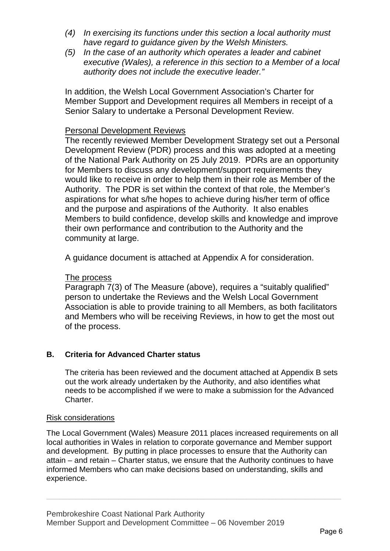- *(4) In exercising its functions under this section a local authority must have regard to guidance given by the Welsh Ministers.*
- *(5) In the case of an authority which operates a leader and cabinet executive (Wales), a reference in this section to a Member of a local authority does not include the executive leader."*

In addition, the Welsh Local Government Association's Charter for Member Support and Development requires all Members in receipt of a Senior Salary to undertake a Personal Development Review.

#### Personal Development Reviews

The recently reviewed Member Development Strategy set out a Personal Development Review (PDR) process and this was adopted at a meeting of the National Park Authority on 25 July 2019. PDRs are an opportunity for Members to discuss any development/support requirements they would like to receive in order to help them in their role as Member of the Authority. The PDR is set within the context of that role, the Member's aspirations for what s/he hopes to achieve during his/her term of office and the purpose and aspirations of the Authority. It also enables Members to build confidence, develop skills and knowledge and improve their own performance and contribution to the Authority and the community at large.

A guidance document is attached at Appendix A for consideration.

#### The process

Paragraph 7(3) of The Measure (above), requires a "suitably qualified" person to undertake the Reviews and the Welsh Local Government Association is able to provide training to all Members, as both facilitators and Members who will be receiving Reviews, in how to get the most out of the process.

#### **B. Criteria for Advanced Charter status**

The criteria has been reviewed and the document attached at Appendix B sets out the work already undertaken by the Authority, and also identifies what needs to be accomplished if we were to make a submission for the Advanced Charter.

#### Risk considerations

The Local Government (Wales) Measure 2011 places increased requirements on all local authorities in Wales in relation to corporate governance and Member support and development. By putting in place processes to ensure that the Authority can attain – and retain – Charter status, we ensure that the Authority continues to have informed Members who can make decisions based on understanding, skills and experience.

 $\_$  ,  $\_$  ,  $\_$  ,  $\_$  ,  $\_$  ,  $\_$  ,  $\_$  ,  $\_$  ,  $\_$  ,  $\_$  ,  $\_$  ,  $\_$  ,  $\_$  ,  $\_$  ,  $\_$  ,  $\_$  ,  $\_$  ,  $\_$  ,  $\_$  ,  $\_$  ,  $\_$  ,  $\_$  ,  $\_$  ,  $\_$  ,  $\_$  ,  $\_$  ,  $\_$  ,  $\_$  ,  $\_$  ,  $\_$  ,  $\_$  ,  $\_$  ,  $\_$  ,  $\_$  ,  $\_$  ,  $\_$  ,  $\_$  ,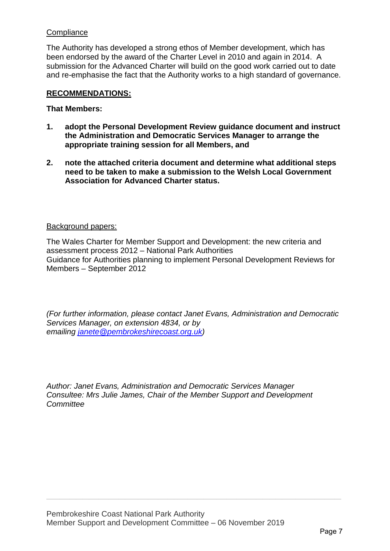#### **Compliance**

The Authority has developed a strong ethos of Member development, which has been endorsed by the award of the Charter Level in 2010 and again in 2014. A submission for the Advanced Charter will build on the good work carried out to date and re-emphasise the fact that the Authority works to a high standard of governance.

#### **RECOMMENDATIONS:**

#### **That Members:**

- **1. adopt the Personal Development Review guidance document and instruct the Administration and Democratic Services Manager to arrange the appropriate training session for all Members, and**
- **2. note the attached criteria document and determine what additional steps need to be taken to make a submission to the Welsh Local Government Association for Advanced Charter status.**

#### Background papers:

The Wales Charter for Member Support and Development: the new criteria and assessment process 2012 – National Park Authorities Guidance for Authorities planning to implement Personal Development Reviews for Members – September 2012

*(For further information, please contact Janet Evans, Administration and Democratic Services Manager, on extension 4834, or by emailing [janete@pembrokeshirecoast.org.uk\)](mailto:janete@pembrokeshirecoast.org.uk)* 

*Author: Janet Evans, Administration and Democratic Services Manager Consultee: Mrs Julie James, Chair of the Member Support and Development Committee*

 $\_$  ,  $\_$  ,  $\_$  ,  $\_$  ,  $\_$  ,  $\_$  ,  $\_$  ,  $\_$  ,  $\_$  ,  $\_$  ,  $\_$  ,  $\_$  ,  $\_$  ,  $\_$  ,  $\_$  ,  $\_$  ,  $\_$  ,  $\_$  ,  $\_$  ,  $\_$  ,  $\_$  ,  $\_$  ,  $\_$  ,  $\_$  ,  $\_$  ,  $\_$  ,  $\_$  ,  $\_$  ,  $\_$  ,  $\_$  ,  $\_$  ,  $\_$  ,  $\_$  ,  $\_$  ,  $\_$  ,  $\_$  ,  $\_$  ,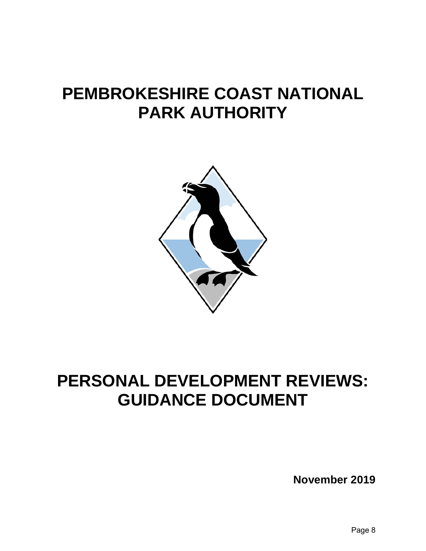# **PEMBROKESHIRE COAST NATIONAL PARK AUTHORITY**



# **PERSONAL DEVELOPMENT REVIEWS: GUIDANCE DOCUMENT**

**November 2019**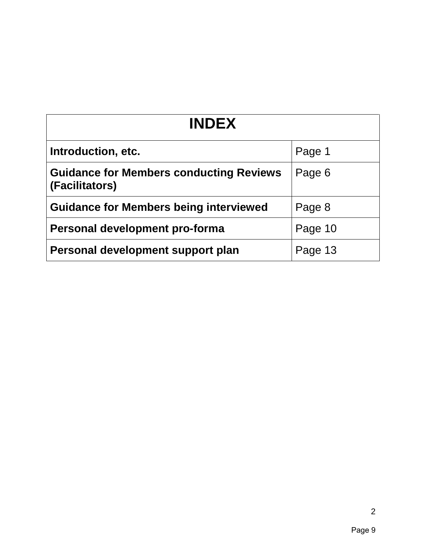| <b>INDEX</b>                                                     |         |  |  |
|------------------------------------------------------------------|---------|--|--|
| Introduction, etc.                                               | Page 1  |  |  |
| <b>Guidance for Members conducting Reviews</b><br>(Facilitators) | Page 6  |  |  |
| <b>Guidance for Members being interviewed</b>                    | Page 8  |  |  |
| Personal development pro-forma                                   | Page 10 |  |  |
| Personal development support plan                                | Page 13 |  |  |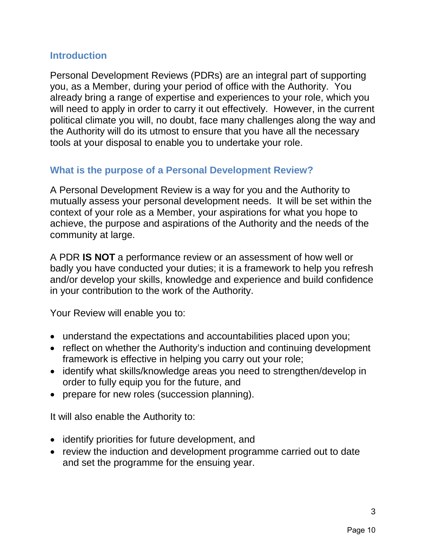## **Introduction**

Personal Development Reviews (PDRs) are an integral part of supporting you, as a Member, during your period of office with the Authority. You already bring a range of expertise and experiences to your role, which you will need to apply in order to carry it out effectively. However, in the current political climate you will, no doubt, face many challenges along the way and the Authority will do its utmost to ensure that you have all the necessary tools at your disposal to enable you to undertake your role.

# **What is the purpose of a Personal Development Review?**

A Personal Development Review is a way for you and the Authority to mutually assess your personal development needs. It will be set within the context of your role as a Member, your aspirations for what you hope to achieve, the purpose and aspirations of the Authority and the needs of the community at large.

A PDR **IS NOT** a performance review or an assessment of how well or badly you have conducted your duties; it is a framework to help you refresh and/or develop your skills, knowledge and experience and build confidence in your contribution to the work of the Authority.

Your Review will enable you to:

- understand the expectations and accountabilities placed upon you;
- reflect on whether the Authority's induction and continuing development framework is effective in helping you carry out your role;
- identify what skills/knowledge areas you need to strengthen/develop in order to fully equip you for the future, and
- prepare for new roles (succession planning).

It will also enable the Authority to:

- identify priorities for future development, and
- review the induction and development programme carried out to date and set the programme for the ensuing year.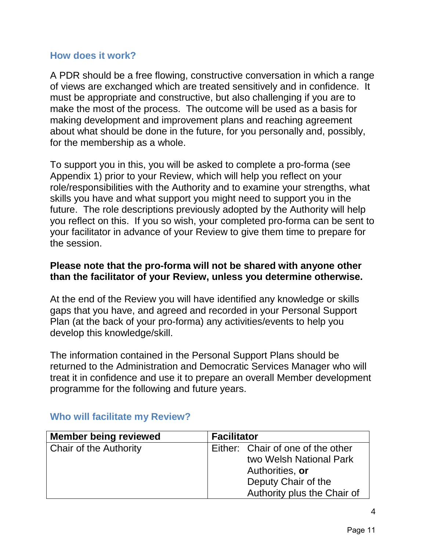## **How does it work?**

A PDR should be a free flowing, constructive conversation in which a range of views are exchanged which are treated sensitively and in confidence. It must be appropriate and constructive, but also challenging if you are to make the most of the process. The outcome will be used as a basis for making development and improvement plans and reaching agreement about what should be done in the future, for you personally and, possibly, for the membership as a whole.

To support you in this, you will be asked to complete a pro-forma (see Appendix 1) prior to your Review, which will help you reflect on your role/responsibilities with the Authority and to examine your strengths, what skills you have and what support you might need to support you in the future. The role descriptions previously adopted by the Authority will help you reflect on this. If you so wish, your completed pro-forma can be sent to your facilitator in advance of your Review to give them time to prepare for the session.

## **Please note that the pro-forma will not be shared with anyone other than the facilitator of your Review, unless you determine otherwise.**

At the end of the Review you will have identified any knowledge or skills gaps that you have, and agreed and recorded in your Personal Support Plan (at the back of your pro-forma) any activities/events to help you develop this knowledge/skill.

The information contained in the Personal Support Plans should be returned to the Administration and Democratic Services Manager who will treat it in confidence and use it to prepare an overall Member development programme for the following and future years.

| <b>Member being reviewed</b>  | <b>Facilitator</b> |                                   |  |
|-------------------------------|--------------------|-----------------------------------|--|
| <b>Chair of the Authority</b> |                    | Either: Chair of one of the other |  |
|                               |                    | two Welsh National Park           |  |
|                               |                    | Authorities, or                   |  |
|                               |                    | Deputy Chair of the               |  |
|                               |                    | Authority plus the Chair of       |  |

## **Who will facilitate my Review?**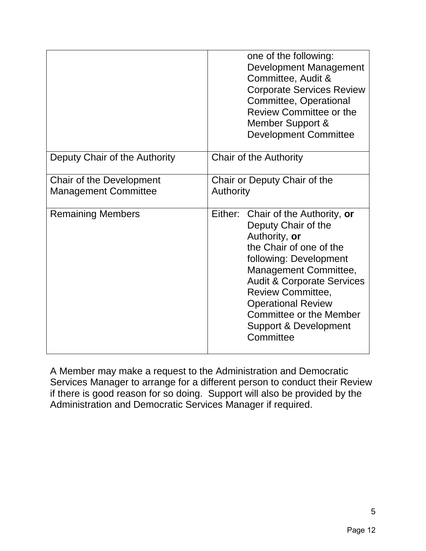|                                                         | one of the following:<br><b>Development Management</b><br>Committee, Audit &<br><b>Corporate Services Review</b><br>Committee, Operational<br><b>Review Committee or the</b><br>Member Support &<br><b>Development Committee</b>                                                                                                   |
|---------------------------------------------------------|------------------------------------------------------------------------------------------------------------------------------------------------------------------------------------------------------------------------------------------------------------------------------------------------------------------------------------|
| Deputy Chair of the Authority                           | <b>Chair of the Authority</b>                                                                                                                                                                                                                                                                                                      |
| Chair of the Development<br><b>Management Committee</b> | Chair or Deputy Chair of the<br>Authority                                                                                                                                                                                                                                                                                          |
| <b>Remaining Members</b>                                | Either: Chair of the Authority, or<br>Deputy Chair of the<br>Authority, or<br>the Chair of one of the<br>following: Development<br>Management Committee,<br><b>Audit &amp; Corporate Services</b><br><b>Review Committee,</b><br><b>Operational Review</b><br><b>Committee or the Member</b><br>Support & Development<br>Committee |

A Member may make a request to the Administration and Democratic Services Manager to arrange for a different person to conduct their Review if there is good reason for so doing. Support will also be provided by the Administration and Democratic Services Manager if required.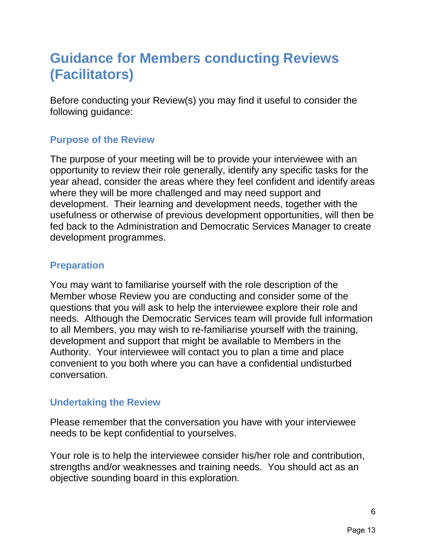# **Guidance for Members conducting Reviews (Facilitators)**

Before conducting your Review(s) you may find it useful to consider the following guidance:

# **Purpose of the Review**

The purpose of your meeting will be to provide your interviewee with an opportunity to review their role generally, identify any specific tasks for the year ahead, consider the areas where they feel confident and identify areas where they will be more challenged and may need support and development. Their learning and development needs, together with the usefulness or otherwise of previous development opportunities, will then be fed back to the Administration and Democratic Services Manager to create development programmes.

# **Preparation**

You may want to familiarise yourself with the role description of the Member whose Review you are conducting and consider some of the questions that you will ask to help the interviewee explore their role and needs. Although the Democratic Services team will provide full information to all Members, you may wish to re-familiarise yourself with the training, development and support that might be available to Members in the Authority. Your interviewee will contact you to plan a time and place convenient to you both where you can have a confidential undisturbed conversation.

# **Undertaking the Review**

Please remember that the conversation you have with your interviewee needs to be kept confidential to yourselves.

Your role is to help the interviewee consider his/her role and contribution, strengths and/or weaknesses and training needs. You should act as an objective sounding board in this exploration.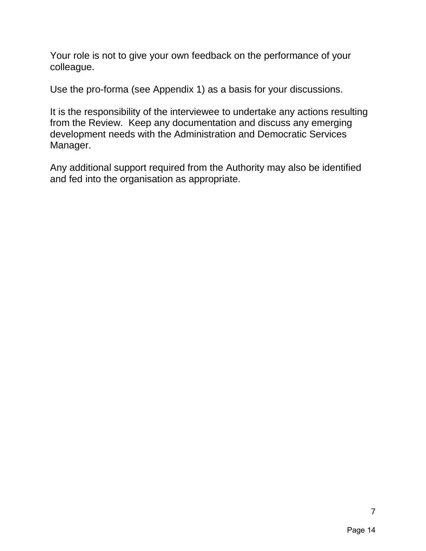Your role is not to give your own feedback on the performance of your colleague.

Use the pro-forma (see Appendix 1) as a basis for your discussions.

It is the responsibility of the interviewee to undertake any actions resulting from the Review. Keep any documentation and discuss any emerging development needs with the Administration and Democratic Services Manager.

Any additional support required from the Authority may also be identified and fed into the organisation as appropriate.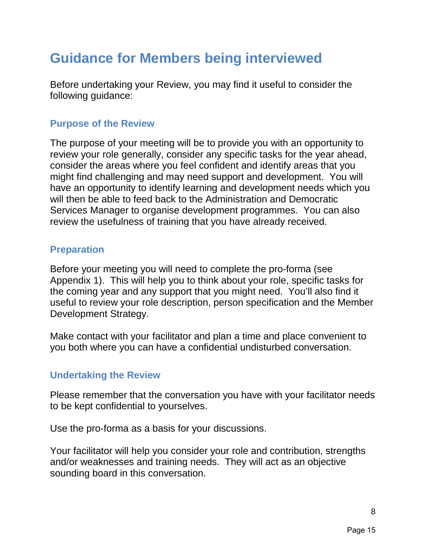# **Guidance for Members being interviewed**

Before undertaking your Review, you may find it useful to consider the following guidance:

# **Purpose of the Review**

The purpose of your meeting will be to provide you with an opportunity to review your role generally, consider any specific tasks for the year ahead, consider the areas where you feel confident and identify areas that you might find challenging and may need support and development. You will have an opportunity to identify learning and development needs which you will then be able to feed back to the Administration and Democratic Services Manager to organise development programmes. You can also review the usefulness of training that you have already received.

# **Preparation**

Before your meeting you will need to complete the pro-forma (see Appendix 1). This will help you to think about your role, specific tasks for the coming year and any support that you might need. You'll also find it useful to review your role description, person specification and the Member Development Strategy.

Make contact with your facilitator and plan a time and place convenient to you both where you can have a confidential undisturbed conversation.

# **Undertaking the Review**

Please remember that the conversation you have with your facilitator needs to be kept confidential to yourselves.

Use the pro-forma as a basis for your discussions.

Your facilitator will help you consider your role and contribution, strengths and/or weaknesses and training needs. They will act as an objective sounding board in this conversation.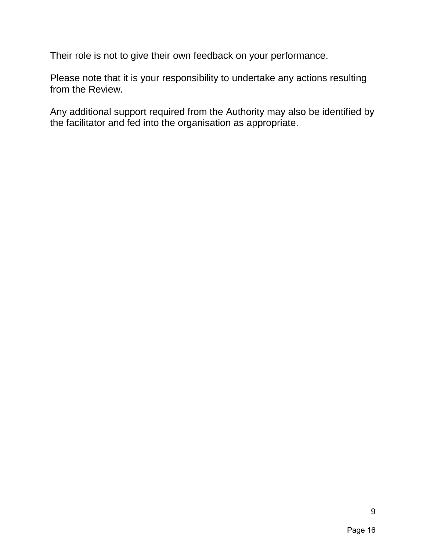Their role is not to give their own feedback on your performance.

Please note that it is your responsibility to undertake any actions resulting from the Review.

Any additional support required from the Authority may also be identified by the facilitator and fed into the organisation as appropriate.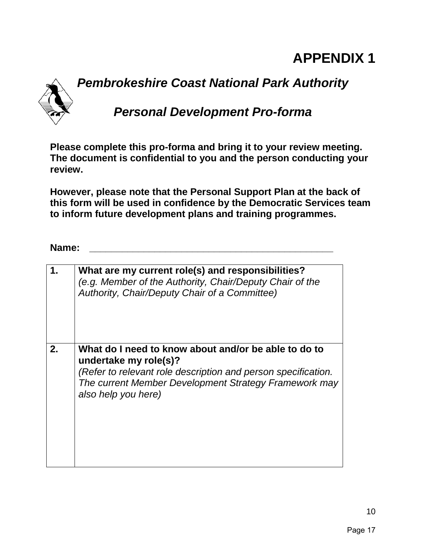# **APPENDIX 1**

# *Pembrokeshire Coast National Park Authority Personal Development Pro-forma*

**Please complete this pro-forma and bring it to your review meeting. The document is confidential to you and the person conducting your review.**

**However, please note that the Personal Support Plan at the back of this form will be used in confidence by the Democratic Services team to inform future development plans and training programmes.**

## **Name: \_\_\_\_\_\_\_\_\_\_\_\_\_\_\_\_\_\_\_\_\_\_\_\_\_\_\_\_\_\_\_\_\_\_\_\_\_\_\_\_\_\_\_\_\_**

|    | What are my current role(s) and responsibilities?<br>(e.g. Member of the Authority, Chair/Deputy Chair of the<br>Authority, Chair/Deputy Chair of a Committee)                                                                 |
|----|--------------------------------------------------------------------------------------------------------------------------------------------------------------------------------------------------------------------------------|
| 2. | What do I need to know about and/or be able to do to<br>undertake my role(s)?<br>(Refer to relevant role description and person specification.<br>The current Member Development Strategy Framework may<br>also help you here) |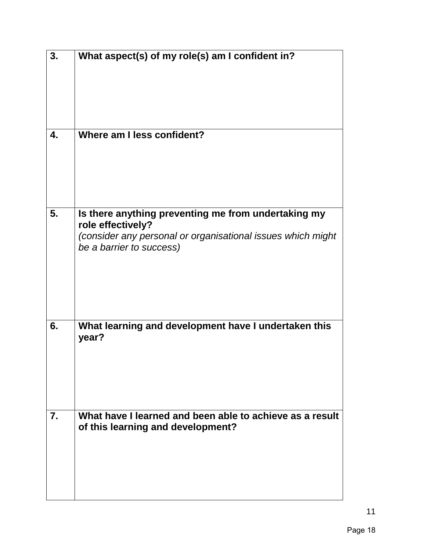| 3. | What aspect(s) of my role(s) am I confident in?                                                                                                                     |
|----|---------------------------------------------------------------------------------------------------------------------------------------------------------------------|
| 4. | Where am I less confident?                                                                                                                                          |
| 5. | Is there anything preventing me from undertaking my<br>role effectively?<br>(consider any personal or organisational issues which might<br>be a barrier to success) |
| 6. | What learning and development have I undertaken this<br>year?                                                                                                       |
| 7. | What have I learned and been able to achieve as a result<br>of this learning and development?                                                                       |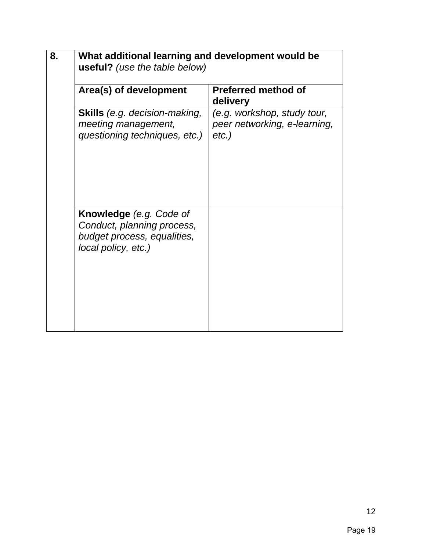| 8. | What additional learning and development would be<br><b>useful?</b> (use the table below)                          |                                                                         |  |  |  |
|----|--------------------------------------------------------------------------------------------------------------------|-------------------------------------------------------------------------|--|--|--|
|    | Area(s) of development                                                                                             | <b>Preferred method of</b><br>delivery                                  |  |  |  |
|    | <b>Skills</b> (e.g. decision-making,<br>meeting management,<br>questioning techniques, etc.)                       | (e.g. workshop, study tour,<br>peer networking, e-learning,<br>$etc.$ ) |  |  |  |
|    | <b>Knowledge</b> (e.g. Code of<br>Conduct, planning process,<br>budget process, equalities,<br>local policy, etc.) |                                                                         |  |  |  |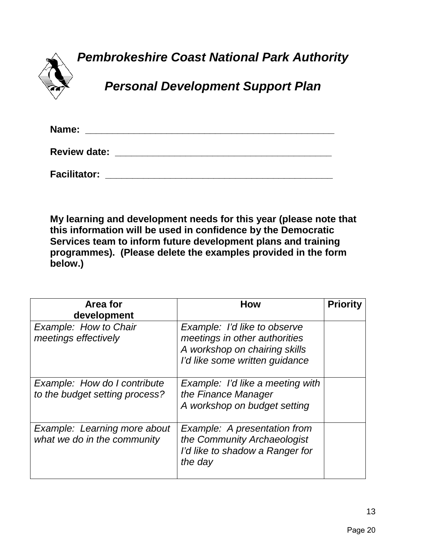*Pembrokeshire Coast National Park Authority*

![](_page_15_Picture_1.jpeg)

*Personal Development Support Plan*

| Name:               |  |  |
|---------------------|--|--|
| <b>Review date:</b> |  |  |
| <b>Facilitator:</b> |  |  |

**My learning and development needs for this year (please note that this information will be used in confidence by the Democratic Services team to inform future development plans and training programmes). (Please delete the examples provided in the form below.)**

| Area for<br>development                                        | <b>How</b>                                                                                                                       | <b>Priority</b> |
|----------------------------------------------------------------|----------------------------------------------------------------------------------------------------------------------------------|-----------------|
| Example: How to Chair<br>meetings effectively                  | Example: I'd like to observe<br>meetings in other authorities<br>A workshop on chairing skills<br>I'd like some written guidance |                 |
| Example: How do I contribute<br>to the budget setting process? | Example: I'd like a meeting with<br>the Finance Manager<br>A workshop on budget setting                                          |                 |
| Example: Learning more about<br>what we do in the community    | Example: A presentation from<br>the Community Archaeologist<br>I'd like to shadow a Ranger for<br>the day                        |                 |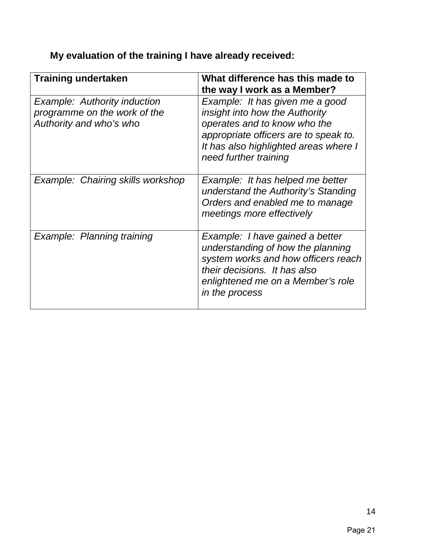| <b>Training undertaken</b>                                                                     | What difference has this made to<br>the way I work as a Member?                                                                                                                                              |
|------------------------------------------------------------------------------------------------|--------------------------------------------------------------------------------------------------------------------------------------------------------------------------------------------------------------|
| <b>Example: Authority induction</b><br>programme on the work of the<br>Authority and who's who | Example: It has given me a good<br>insight into how the Authority<br>operates and to know who the<br>appropriate officers are to speak to.<br>It has also highlighted areas where I<br>need further training |
| Example: Chairing skills workshop                                                              | Example: It has helped me better<br>understand the Authority's Standing<br>Orders and enabled me to manage<br>meetings more effectively                                                                      |
| Example: Planning training                                                                     | Example: I have gained a better<br>understanding of how the planning<br>system works and how officers reach<br>their decisions. It has also<br>enlightened me on a Member's role<br>in the process           |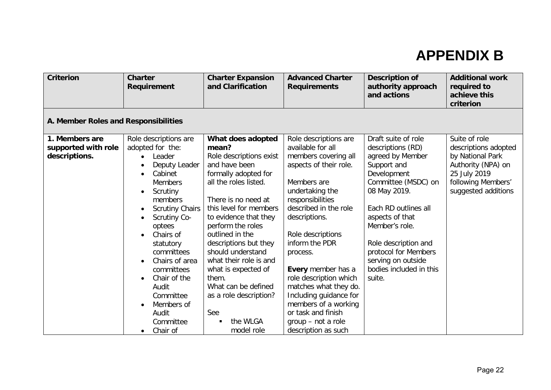# **APPENDIX B**

| <b>Criterion</b>                     | <b>Charter</b><br>Requirement             | <b>Charter Expansion</b><br>and Clarification | <b>Advanced Charter</b><br><b>Requirements</b> | <b>Description of</b><br>authority approach<br>and actions | <b>Additional work</b><br>required to<br>achieve this<br>criterion |
|--------------------------------------|-------------------------------------------|-----------------------------------------------|------------------------------------------------|------------------------------------------------------------|--------------------------------------------------------------------|
| A. Member Roles and Responsibilities |                                           |                                               |                                                |                                                            |                                                                    |
| 1. Members are                       | Role descriptions are                     | What does adopted                             | Role descriptions are                          | Draft suite of role                                        | Suite of role                                                      |
| supported with role                  | adopted for the:                          | mean?                                         | available for all                              | descriptions (RD)                                          | descriptions adopted                                               |
| descriptions.                        | Leader<br>$\bullet$                       | Role descriptions exist                       | members covering all                           | agreed by Member                                           | by National Park                                                   |
|                                      | Deputy Leader<br>$\bullet$                | and have been                                 | aspects of their role.                         | Support and                                                | Authority (NPA) on                                                 |
|                                      | Cabinet<br>$\bullet$                      | formally adopted for                          |                                                | Development                                                | 25 July 2019                                                       |
|                                      | <b>Members</b>                            | all the roles listed.                         | Members are                                    | Committee (MSDC) on                                        | following Members'                                                 |
|                                      | Scrutiny<br>$\bullet$                     |                                               | undertaking the                                | 08 May 2019.                                               | suggested additions                                                |
|                                      | members                                   | There is no need at                           | responsibilities                               |                                                            |                                                                    |
|                                      | <b>Scrutiny Chairs</b>                    | this level for members                        | described in the role                          | Each RD outlines all                                       |                                                                    |
|                                      | Scrutiny Co-<br>$\bullet$                 | to evidence that they                         | descriptions.                                  | aspects of that                                            |                                                                    |
|                                      | optees                                    | perform the roles                             |                                                | Member's role.                                             |                                                                    |
|                                      | Chairs of<br>$\bullet$                    | outlined in the                               | Role descriptions                              |                                                            |                                                                    |
|                                      | statutory                                 | descriptions but they<br>should understand    | inform the PDR                                 | Role description and                                       |                                                                    |
|                                      | committees                                | what their role is and                        | process.                                       | protocol for Members                                       |                                                                    |
|                                      | Chairs of area<br>$\bullet$<br>committees | what is expected of                           | Every member has a                             | serving on outside<br>bodies included in this              |                                                                    |
|                                      | Chair of the<br>$\bullet$                 | them.                                         | role description which                         | suite.                                                     |                                                                    |
|                                      | Audit                                     | What can be defined                           | matches what they do.                          |                                                            |                                                                    |
|                                      | Committee                                 | as a role description?                        | Including guidance for                         |                                                            |                                                                    |
|                                      | Members of                                |                                               | members of a working                           |                                                            |                                                                    |
|                                      | Audit                                     | See                                           | or task and finish                             |                                                            |                                                                    |
|                                      | Committee                                 | the WLGA                                      | group - not a role                             |                                                            |                                                                    |
|                                      | Chair of<br>$\bullet$                     | model role                                    | description as such                            |                                                            |                                                                    |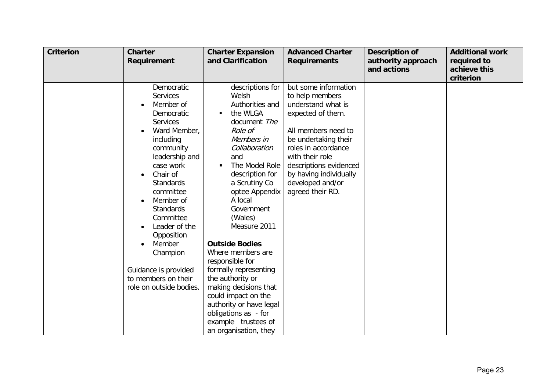| <b>Criterion</b> | <b>Charter</b><br><b>Requirement</b>                                                                                                                                                                                                                                                                                                                                                                     | <b>Charter Expansion</b><br>and Clarification                                                                                                                                                                                                                                                                                                                                                                                                                                                                                                 | <b>Advanced Charter</b><br><b>Requirements</b>                                                                                                                                                                                                                          | <b>Description of</b><br>authority approach<br>and actions | <b>Additional work</b><br>required to<br>achieve this<br>criterion |
|------------------|----------------------------------------------------------------------------------------------------------------------------------------------------------------------------------------------------------------------------------------------------------------------------------------------------------------------------------------------------------------------------------------------------------|-----------------------------------------------------------------------------------------------------------------------------------------------------------------------------------------------------------------------------------------------------------------------------------------------------------------------------------------------------------------------------------------------------------------------------------------------------------------------------------------------------------------------------------------------|-------------------------------------------------------------------------------------------------------------------------------------------------------------------------------------------------------------------------------------------------------------------------|------------------------------------------------------------|--------------------------------------------------------------------|
|                  | Democratic<br><b>Services</b><br>Member of<br>Democratic<br><b>Services</b><br>Ward Member,<br>including<br>community<br>leadership and<br>case work<br>Chair of<br><b>Standards</b><br>committee<br>Member of<br>$\bullet$<br><b>Standards</b><br>Committee<br>Leader of the<br>$\bullet$<br>Opposition<br>Member<br>Champion<br>Guidance is provided<br>to members on their<br>role on outside bodies. | descriptions for<br>Welsh<br>Authorities and<br>the WLGA<br>П<br>document The<br>Role of<br>Members in<br>Collaboration<br>and<br>The Model Role<br>$\blacksquare$<br>description for<br>a Scrutiny Co<br>optee Appendix<br>A local<br>Government<br>(Wales)<br>Measure 2011<br><b>Outside Bodies</b><br>Where members are<br>responsible for<br>formally representing<br>the authority or<br>making decisions that<br>could impact on the<br>authority or have legal<br>obligations as - for<br>example trustees of<br>an organisation, they | but some information<br>to help members<br>understand what is<br>expected of them.<br>All members need to<br>be undertaking their<br>roles in accordance<br>with their role<br>descriptions evidenced<br>by having individually<br>developed and/or<br>agreed their RD. |                                                            |                                                                    |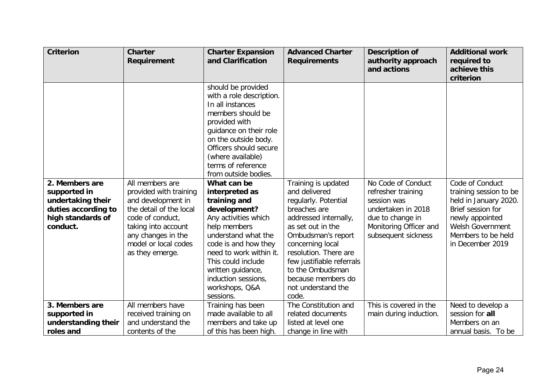| <b>Criterion</b>                                                                                            | <b>Charter</b><br><b>Requirement</b>                                                                                                                                                                   | <b>Charter Expansion</b><br>and Clarification                                                                                                                                                                                                                                                                                                                                                                                                                                                                                               | <b>Advanced Charter</b><br><b>Requirements</b>                                                                                                                                                                                                                                                      | <b>Description of</b><br>authority approach<br>and actions                                                                                         | <b>Additional work</b><br>required to<br>achieve this<br>criterion                                                                                                              |
|-------------------------------------------------------------------------------------------------------------|--------------------------------------------------------------------------------------------------------------------------------------------------------------------------------------------------------|---------------------------------------------------------------------------------------------------------------------------------------------------------------------------------------------------------------------------------------------------------------------------------------------------------------------------------------------------------------------------------------------------------------------------------------------------------------------------------------------------------------------------------------------|-----------------------------------------------------------------------------------------------------------------------------------------------------------------------------------------------------------------------------------------------------------------------------------------------------|----------------------------------------------------------------------------------------------------------------------------------------------------|---------------------------------------------------------------------------------------------------------------------------------------------------------------------------------|
| 2. Members are<br>supported in<br>undertaking their<br>duties according to<br>high standards of<br>conduct. | All members are<br>provided with training<br>and development in<br>the detail of the local<br>code of conduct,<br>taking into account<br>any changes in the<br>model or local codes<br>as they emerge. | should be provided<br>with a role description.<br>In all instances<br>members should be<br>provided with<br>guidance on their role<br>on the outside body.<br>Officers should secure<br>(where available)<br>terms of reference<br>from outside bodies.<br>What can be<br>interpreted as<br>training and<br>development?<br>Any activities which<br>help members<br>understand what the<br>code is and how they<br>need to work within it.<br>This could include<br>written guidance,<br>induction sessions,<br>workshops, Q&A<br>sessions. | Training is updated<br>and delivered<br>regularly. Potential<br>breaches are<br>addressed internally,<br>as set out in the<br>Ombudsman's report<br>concerning local<br>resolution. There are<br>few justifiable referrals<br>to the Ombudsman<br>because members do<br>not understand the<br>code. | No Code of Conduct<br>refresher training<br>session was<br>undertaken in 2018<br>due to change in<br>Monitoring Officer and<br>subsequent sickness | Code of Conduct<br>training session to be<br>held in January 2020.<br>Brief session for<br>newly appointed<br><b>Welsh Government</b><br>Members to be held<br>in December 2019 |
| 3. Members are                                                                                              | All members have                                                                                                                                                                                       | Training has been                                                                                                                                                                                                                                                                                                                                                                                                                                                                                                                           | The Constitution and                                                                                                                                                                                                                                                                                | This is covered in the                                                                                                                             | Need to develop a                                                                                                                                                               |
| supported in                                                                                                | received training on                                                                                                                                                                                   | made available to all                                                                                                                                                                                                                                                                                                                                                                                                                                                                                                                       | related documents                                                                                                                                                                                                                                                                                   | main during induction.                                                                                                                             | session for all                                                                                                                                                                 |
| understanding their                                                                                         | and understand the                                                                                                                                                                                     | members and take up                                                                                                                                                                                                                                                                                                                                                                                                                                                                                                                         | listed at level one                                                                                                                                                                                                                                                                                 |                                                                                                                                                    | Members on an                                                                                                                                                                   |
| roles and                                                                                                   | contents of the                                                                                                                                                                                        | of this has been high.                                                                                                                                                                                                                                                                                                                                                                                                                                                                                                                      | change in line with                                                                                                                                                                                                                                                                                 |                                                                                                                                                    | annual basis. To be                                                                                                                                                             |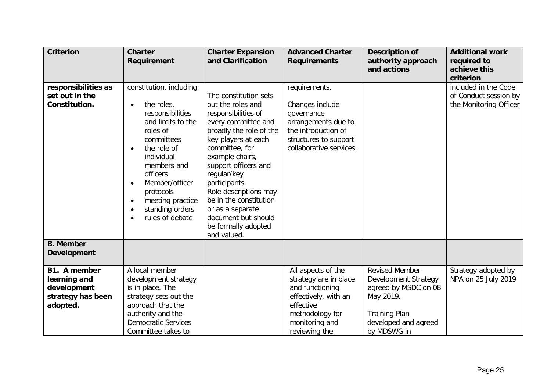| <b>Criterion</b>                                                             | <b>Charter</b><br><b>Requirement</b>                                                                                                                                                                                                                       | <b>Charter Expansion</b><br>and Clarification                                                                                                                                                                                                                                                                                                                               | <b>Advanced Charter</b><br><b>Requirements</b>                                                                                                   | <b>Description of</b><br>authority approach<br>and actions                                                                         | <b>Additional work</b><br>required to<br>achieve this                   |
|------------------------------------------------------------------------------|------------------------------------------------------------------------------------------------------------------------------------------------------------------------------------------------------------------------------------------------------------|-----------------------------------------------------------------------------------------------------------------------------------------------------------------------------------------------------------------------------------------------------------------------------------------------------------------------------------------------------------------------------|--------------------------------------------------------------------------------------------------------------------------------------------------|------------------------------------------------------------------------------------------------------------------------------------|-------------------------------------------------------------------------|
|                                                                              |                                                                                                                                                                                                                                                            |                                                                                                                                                                                                                                                                                                                                                                             |                                                                                                                                                  |                                                                                                                                    | criterion                                                               |
| responsibilities as<br>set out in the<br>Constitution.                       | constitution, including:<br>the roles,<br>responsibilities<br>and limits to the<br>roles of<br>committees<br>the role of<br>individual<br>members and<br>officers<br>Member/officer<br>protocols<br>meeting practice<br>standing orders<br>rules of debate | The constitution sets<br>out the roles and<br>responsibilities of<br>every committee and<br>broadly the role of the<br>key players at each<br>committee, for<br>example chairs,<br>support officers and<br>regular/key<br>participants.<br>Role descriptions may<br>be in the constitution<br>or as a separate<br>document but should<br>be formally adopted<br>and valued. | requirements.<br>Changes include<br>governance<br>arrangements due to<br>the introduction of<br>structures to support<br>collaborative services. |                                                                                                                                    | included in the Code<br>of Conduct session by<br>the Monitoring Officer |
| <b>B.</b> Member<br><b>Development</b>                                       |                                                                                                                                                                                                                                                            |                                                                                                                                                                                                                                                                                                                                                                             |                                                                                                                                                  |                                                                                                                                    |                                                                         |
| B1. A member<br>learning and<br>development<br>strategy has been<br>adopted. | A local member<br>development strategy<br>is in place. The<br>strategy sets out the<br>approach that the<br>authority and the<br><b>Democratic Services</b>                                                                                                |                                                                                                                                                                                                                                                                                                                                                                             | All aspects of the<br>strategy are in place<br>and functioning<br>effectively, with an<br>effective<br>methodology for<br>monitoring and         | <b>Revised Member</b><br>Development Strategy<br>agreed by MSDC on 08<br>May 2019.<br><b>Training Plan</b><br>developed and agreed | Strategy adopted by<br>NPA on 25 July 2019                              |
|                                                                              | Committee takes to                                                                                                                                                                                                                                         |                                                                                                                                                                                                                                                                                                                                                                             | reviewing the                                                                                                                                    | by MDSWG in                                                                                                                        |                                                                         |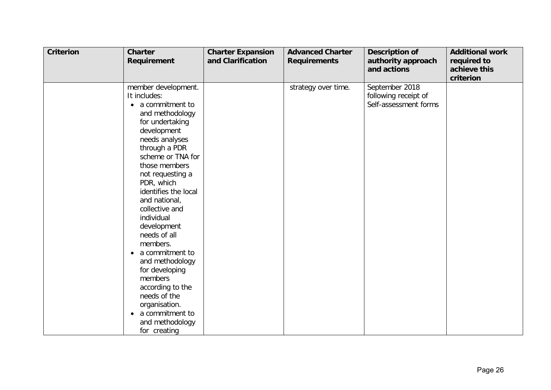| <b>Criterion</b> | <b>Charter</b><br><b>Requirement</b>                                                                                                                                                                                                                                                                                                                                                                                                                                                                                       | <b>Charter Expansion</b><br>and Clarification | <b>Advanced Charter</b><br><b>Requirements</b> | <b>Description of</b><br>authority approach<br>and actions      | <b>Additional work</b><br>required to<br>achieve this<br>criterion |
|------------------|----------------------------------------------------------------------------------------------------------------------------------------------------------------------------------------------------------------------------------------------------------------------------------------------------------------------------------------------------------------------------------------------------------------------------------------------------------------------------------------------------------------------------|-----------------------------------------------|------------------------------------------------|-----------------------------------------------------------------|--------------------------------------------------------------------|
|                  | member development.<br>It includes:<br>• a commitment to<br>and methodology<br>for undertaking<br>development<br>needs analyses<br>through a PDR<br>scheme or TNA for<br>those members<br>not requesting a<br>PDR, which<br>identifies the local<br>and national,<br>collective and<br>individual<br>development<br>needs of all<br>members.<br>a commitment to<br>and methodology<br>for developing<br>members<br>according to the<br>needs of the<br>organisation.<br>a commitment to<br>and methodology<br>for creating |                                               | strategy over time.                            | September 2018<br>following receipt of<br>Self-assessment forms |                                                                    |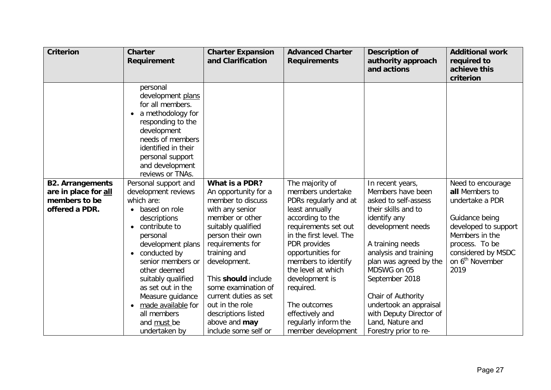| <b>Criterion</b>                                | <b>Charter</b><br><b>Requirement</b>                                                                                                                                                                             | <b>Charter Expansion</b><br>and Clarification | <b>Advanced Charter</b><br><b>Requirements</b> | <b>Description of</b><br>authority approach<br>and actions | <b>Additional work</b><br>required to<br>achieve this |
|-------------------------------------------------|------------------------------------------------------------------------------------------------------------------------------------------------------------------------------------------------------------------|-----------------------------------------------|------------------------------------------------|------------------------------------------------------------|-------------------------------------------------------|
|                                                 | personal<br>development plans<br>for all members.<br>a methodology for<br>responding to the<br>development<br>needs of members<br>identified in their<br>personal support<br>and development<br>reviews or TNAs. | What is a PDR?                                | The majority of                                |                                                            | criterion                                             |
| <b>B2. Arrangements</b><br>are in place for all | Personal support and<br>development reviews                                                                                                                                                                      | An opportunity for a                          | members undertake                              | In recent years,<br>Members have been                      | Need to encourage<br>all Members to                   |
| members to be                                   | which are:                                                                                                                                                                                                       | member to discuss                             | PDRs regularly and at                          | asked to self-assess                                       | undertake a PDR                                       |
| offered a PDR.                                  | based on role                                                                                                                                                                                                    | with any senior                               | least annually                                 | their skills and to                                        |                                                       |
|                                                 | descriptions                                                                                                                                                                                                     | member or other                               | according to the                               | identify any                                               | Guidance being                                        |
|                                                 | contribute to<br>$\bullet$                                                                                                                                                                                       | suitably qualified                            | requirements set out                           | development needs                                          | developed to support                                  |
|                                                 | personal                                                                                                                                                                                                         | person their own                              | in the first level. The                        |                                                            | Members in the                                        |
|                                                 | development plans                                                                                                                                                                                                | requirements for                              | PDR provides                                   | A training needs                                           | process. To be                                        |
|                                                 | conducted by                                                                                                                                                                                                     | training and                                  | opportunities for                              | analysis and training                                      | considered by MSDC                                    |
|                                                 | senior members or                                                                                                                                                                                                | development.                                  | members to identify                            | plan was agreed by the                                     | on 6 <sup>th</sup> November                           |
|                                                 | other deemed                                                                                                                                                                                                     |                                               | the level at which                             | MDSWG on 05                                                | 2019                                                  |
|                                                 | suitably qualified                                                                                                                                                                                               | This should include                           | development is                                 | September 2018                                             |                                                       |
|                                                 | as set out in the<br>Measure guidance                                                                                                                                                                            | some examination of<br>current duties as set  | required.                                      | Chair of Authority                                         |                                                       |
|                                                 | made available for                                                                                                                                                                                               | out in the role                               | The outcomes                                   | undertook an appraisal                                     |                                                       |
|                                                 | all members                                                                                                                                                                                                      | descriptions listed                           | effectively and                                | with Deputy Director of                                    |                                                       |
|                                                 | and must be                                                                                                                                                                                                      | above and may                                 | regularly inform the                           | Land, Nature and                                           |                                                       |
|                                                 | undertaken by                                                                                                                                                                                                    | include some self or                          | member development                             | Forestry prior to re-                                      |                                                       |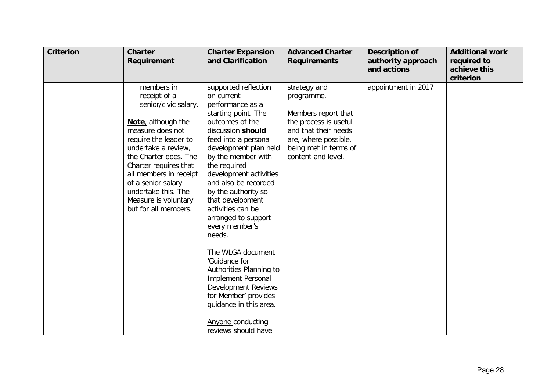| <b>Criterion</b> | <b>Charter</b><br><b>Requirement</b>                                                                                                                                                                                                                                                                                  | <b>Charter Expansion</b><br>and Clarification                                                                                                                                                                                                                                                                                                                                                                                                                                                                                                                                                               | <b>Advanced Charter</b><br><b>Requirements</b>                                                                                                                            | <b>Description of</b><br>authority approach<br>and actions | <b>Additional work</b><br>required to<br>achieve this<br>criterion |
|------------------|-----------------------------------------------------------------------------------------------------------------------------------------------------------------------------------------------------------------------------------------------------------------------------------------------------------------------|-------------------------------------------------------------------------------------------------------------------------------------------------------------------------------------------------------------------------------------------------------------------------------------------------------------------------------------------------------------------------------------------------------------------------------------------------------------------------------------------------------------------------------------------------------------------------------------------------------------|---------------------------------------------------------------------------------------------------------------------------------------------------------------------------|------------------------------------------------------------|--------------------------------------------------------------------|
|                  | members in<br>receipt of a<br>senior/civic salary.<br>Note, although the<br>measure does not<br>require the leader to<br>undertake a review,<br>the Charter does. The<br>Charter requires that<br>all members in receipt<br>of a senior salary<br>undertake this. The<br>Measure is voluntary<br>but for all members. | supported reflection<br>on current<br>performance as a<br>starting point. The<br>outcomes of the<br>discussion should<br>feed into a personal<br>development plan held<br>by the member with<br>the required<br>development activities<br>and also be recorded<br>by the authority so<br>that development<br>activities can be<br>arranged to support<br>every member's<br>needs.<br>The WLGA document<br>'Guidance for<br>Authorities Planning to<br><b>Implement Personal</b><br>Development Reviews<br>for Member' provides<br>guidance in this area.<br><b>Anyone conducting</b><br>reviews should have | strategy and<br>programme.<br>Members report that<br>the process is useful<br>and that their needs<br>are, where possible,<br>being met in terms of<br>content and level. | appointment in 2017                                        |                                                                    |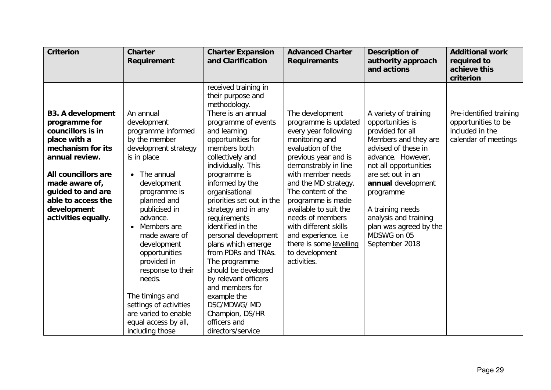| received training in<br>their purpose and<br>methodology.<br>There is an annual<br><b>B3. A development</b><br>An annual<br>The development<br>A variety of training<br>Pre-identified training<br>programme is updated<br>opportunities to be<br>programme for<br>development<br>programme of events<br>opportunities is<br>councillors is in<br>included in the<br>every year following<br>provided for all<br>programme informed<br>and learning<br>monitoring and<br>Members and they are<br>calendar of meetings<br>place with a<br>by the member<br>opportunities for<br>mechanism for its<br>members both<br>evaluation of the<br>advised of these in<br>development strategy                                                                                                                                                                                                                                                                                                                                                                                                                                                                                                                                                                                                                                                                                                                                                                | required to<br>achieve this |
|-----------------------------------------------------------------------------------------------------------------------------------------------------------------------------------------------------------------------------------------------------------------------------------------------------------------------------------------------------------------------------------------------------------------------------------------------------------------------------------------------------------------------------------------------------------------------------------------------------------------------------------------------------------------------------------------------------------------------------------------------------------------------------------------------------------------------------------------------------------------------------------------------------------------------------------------------------------------------------------------------------------------------------------------------------------------------------------------------------------------------------------------------------------------------------------------------------------------------------------------------------------------------------------------------------------------------------------------------------------------------------------------------------------------------------------------------------|-----------------------------|
|                                                                                                                                                                                                                                                                                                                                                                                                                                                                                                                                                                                                                                                                                                                                                                                                                                                                                                                                                                                                                                                                                                                                                                                                                                                                                                                                                                                                                                                     |                             |
| collectively and<br>previous year and is<br>advance. However,<br>annual review.<br>is in place<br>demonstrably in line<br>individually. This<br>not all opportunities<br>with member needs<br>All councillors are<br>• The annual<br>programme is<br>are set out in an<br>made aware of,<br>informed by the<br>and the MD strategy.<br>annual development<br>development<br>organisational<br>guided to and are<br>programme is<br>The content of the<br>programme<br>able to access the<br>priorities set out in the<br>planned and<br>programme is made<br>publicised in<br>strategy and in any<br>available to suit the<br>A training needs<br>development<br>advance.<br>requirements<br>needs of members<br>analysis and training<br>activities equally.<br>identified in the<br>with different skills<br>plan was agreed by the<br>Members are<br>$\bullet$<br>MDSWG on 05<br>personal development<br>and experience. i.e<br>made aware of<br>plans which emerge<br>there is some levelling<br>September 2018<br>development<br>from PDRs and TNAs.<br>to development<br>opportunities<br>provided in<br>The programme<br>activities.<br>should be developed<br>response to their<br>by relevant officers<br>needs.<br>and members for<br>The timings and<br>example the<br>DSC/MDWG/ MD<br>settings of activities<br>are varied to enable<br>Champion, DS/HR<br>equal access by all,<br>officers and<br>directors/service<br>including those |                             |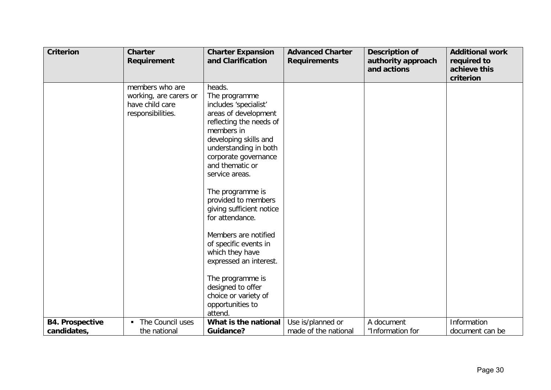| <b>Criterion</b>       | <b>Charter</b><br>Requirement                                                     | <b>Charter Expansion</b><br>and Clarification                                                                                                                                                                                    | <b>Advanced Charter</b><br><b>Requirements</b> | <b>Description of</b><br>authority approach<br>and actions | <b>Additional work</b><br>required to<br>achieve this |
|------------------------|-----------------------------------------------------------------------------------|----------------------------------------------------------------------------------------------------------------------------------------------------------------------------------------------------------------------------------|------------------------------------------------|------------------------------------------------------------|-------------------------------------------------------|
|                        |                                                                                   |                                                                                                                                                                                                                                  |                                                |                                                            | criterion                                             |
|                        | members who are<br>working, are carers or<br>have child care<br>responsibilities. | heads.<br>The programme<br>includes 'specialist'<br>areas of development<br>reflecting the needs of<br>members in<br>developing skills and<br>understanding in both<br>corporate governance<br>and thematic or<br>service areas. |                                                |                                                            |                                                       |
|                        |                                                                                   | The programme is<br>provided to members<br>giving sufficient notice<br>for attendance.                                                                                                                                           |                                                |                                                            |                                                       |
|                        |                                                                                   | Members are notified<br>of specific events in<br>which they have<br>expressed an interest.                                                                                                                                       |                                                |                                                            |                                                       |
|                        |                                                                                   | The programme is<br>designed to offer<br>choice or variety of<br>opportunities to<br>attend.                                                                                                                                     |                                                |                                                            |                                                       |
| <b>B4. Prospective</b> | The Council uses                                                                  | What is the national                                                                                                                                                                                                             | Use is/planned or                              | A document                                                 | Information                                           |
| candidates,            | the national                                                                      | <b>Guidance?</b>                                                                                                                                                                                                                 | made of the national                           | "Information for                                           | document can be                                       |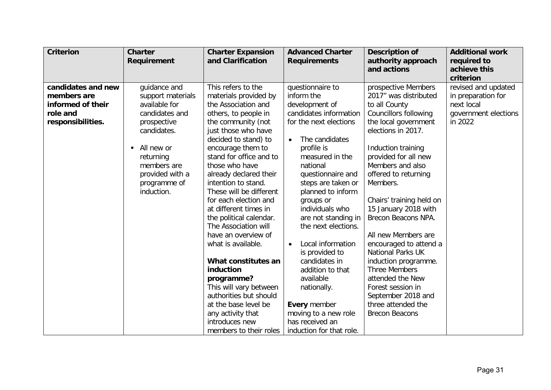| <b>Criterion</b>                                                                        | <b>Charter</b><br>Requirement                                                                                                                                                                 | <b>Charter Expansion</b><br>and Clarification                                                                                                                                                                                                                                                                                                                                                                                                                                                                                                                                                                                                                  | <b>Advanced Charter</b><br><b>Requirements</b>                                                                                                                                                                                                                                                                                                                                                                                                                                                                                       | <b>Description of</b><br>authority approach<br>and actions                                                                                                                                                                                                                                                                                                                                                                                                                                                                                                              | <b>Additional work</b><br>required to<br>achieve this<br>criterion                         |
|-----------------------------------------------------------------------------------------|-----------------------------------------------------------------------------------------------------------------------------------------------------------------------------------------------|----------------------------------------------------------------------------------------------------------------------------------------------------------------------------------------------------------------------------------------------------------------------------------------------------------------------------------------------------------------------------------------------------------------------------------------------------------------------------------------------------------------------------------------------------------------------------------------------------------------------------------------------------------------|--------------------------------------------------------------------------------------------------------------------------------------------------------------------------------------------------------------------------------------------------------------------------------------------------------------------------------------------------------------------------------------------------------------------------------------------------------------------------------------------------------------------------------------|-------------------------------------------------------------------------------------------------------------------------------------------------------------------------------------------------------------------------------------------------------------------------------------------------------------------------------------------------------------------------------------------------------------------------------------------------------------------------------------------------------------------------------------------------------------------------|--------------------------------------------------------------------------------------------|
| candidates and new<br>members are<br>informed of their<br>role and<br>responsibilities. | guidance and<br>support materials<br>available for<br>candidates and<br>prospective<br>candidates.<br>All new or<br>returning<br>members are<br>provided with a<br>programme of<br>induction. | This refers to the<br>materials provided by<br>the Association and<br>others, to people in<br>the community (not<br>just those who have<br>decided to stand) to<br>encourage them to<br>stand for office and to<br>those who have<br>already declared their<br>intention to stand.<br>These will be different<br>for each election and<br>at different times in<br>the political calendar.<br>The Association will<br>have an overview of<br>what is available.<br>What constitutes an<br>induction<br>programme?<br>This will vary between<br>authorities but should<br>at the base level be<br>any activity that<br>introduces new<br>members to their roles | questionnaire to<br>inform the<br>development of<br>candidates information<br>for the next elections<br>The candidates<br>profile is<br>measured in the<br>national<br>questionnaire and<br>steps are taken or<br>planned to inform<br>groups or<br>individuals who<br>are not standing in<br>the next elections.<br>Local information<br>$\bullet$<br>is provided to<br>candidates in<br>addition to that<br>available<br>nationally.<br><b>Every member</b><br>moving to a new role<br>has received an<br>induction for that role. | prospective Members<br>2017" was distributed<br>to all County<br><b>Councillors following</b><br>the local government<br>elections in 2017.<br>Induction training<br>provided for all new<br>Members and also<br>offered to returning<br>Members.<br>Chairs' training held on<br>15 January 2018 with<br>Brecon Beacons NPA.<br>All new Members are<br>encouraged to attend a<br><b>National Parks UK</b><br>induction programme.<br><b>Three Members</b><br>attended the New<br>Forest session in<br>September 2018 and<br>three attended the<br><b>Brecon Beacons</b> | revised and updated<br>in preparation for<br>next local<br>government elections<br>in 2022 |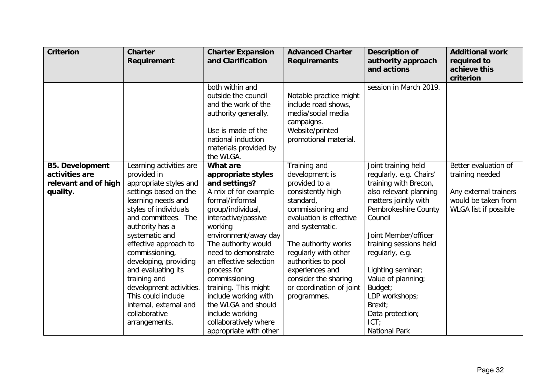| <b>Criterion</b>                                                             | <b>Charter</b><br><b>Requirement</b>                                                                                                                                                                                                                                                                                                                                                                                        | <b>Charter Expansion</b><br>and Clarification                                                                                                                                                                                                                                                                                                                                                                                         | <b>Advanced Charter</b><br><b>Requirements</b>                                                                                                                                                                                                                                                                   | <b>Description of</b><br>authority approach<br>and actions                                                                                                                                                                                                                                                                                                               | <b>Additional work</b><br>required to<br>achieve this<br>criterion                                               |
|------------------------------------------------------------------------------|-----------------------------------------------------------------------------------------------------------------------------------------------------------------------------------------------------------------------------------------------------------------------------------------------------------------------------------------------------------------------------------------------------------------------------|---------------------------------------------------------------------------------------------------------------------------------------------------------------------------------------------------------------------------------------------------------------------------------------------------------------------------------------------------------------------------------------------------------------------------------------|------------------------------------------------------------------------------------------------------------------------------------------------------------------------------------------------------------------------------------------------------------------------------------------------------------------|--------------------------------------------------------------------------------------------------------------------------------------------------------------------------------------------------------------------------------------------------------------------------------------------------------------------------------------------------------------------------|------------------------------------------------------------------------------------------------------------------|
|                                                                              |                                                                                                                                                                                                                                                                                                                                                                                                                             | both within and<br>outside the council<br>and the work of the<br>authority generally.<br>Use is made of the<br>national induction<br>materials provided by<br>the WLGA.                                                                                                                                                                                                                                                               | Notable practice might<br>include road shows,<br>media/social media<br>campaigns.<br>Website/printed<br>promotional material.                                                                                                                                                                                    | session in March 2019.                                                                                                                                                                                                                                                                                                                                                   |                                                                                                                  |
| <b>B5. Development</b><br>activities are<br>relevant and of high<br>quality. | Learning activities are<br>provided in<br>appropriate styles and<br>settings based on the<br>learning needs and<br>styles of individuals<br>and committees. The<br>authority has a<br>systematic and<br>effective approach to<br>commissioning,<br>developing, providing<br>and evaluating its<br>training and<br>development activities.<br>This could include<br>internal, external and<br>collaborative<br>arrangements. | <b>What are</b><br>appropriate styles<br>and settings?<br>A mix of for example<br>formal/informal<br>group/individual,<br>interactive/passive<br>working<br>environment/away day<br>The authority would<br>need to demonstrate<br>an effective selection<br>process for<br>commissioning<br>training. This might<br>include working with<br>the WLGA and should<br>include working<br>collaboratively where<br>appropriate with other | Training and<br>development is<br>provided to a<br>consistently high<br>standard,<br>commissioning and<br>evaluation is effective<br>and systematic.<br>The authority works<br>regularly with other<br>authorities to pool<br>experiences and<br>consider the sharing<br>or coordination of joint<br>programmes. | Joint training held<br>regularly, e.g. Chairs'<br>training with Brecon,<br>also relevant planning<br>matters jointly with<br>Pembrokeshire County<br>Council<br>Joint Member/officer<br>training sessions held<br>regularly, e.g.<br>Lighting seminar;<br>Value of planning;<br>Budget;<br>LDP workshops;<br>Brexit;<br>Data protection;<br>ICT:<br><b>National Park</b> | Better evaluation of<br>training needed<br>Any external trainers<br>would be taken from<br>WLGA list if possible |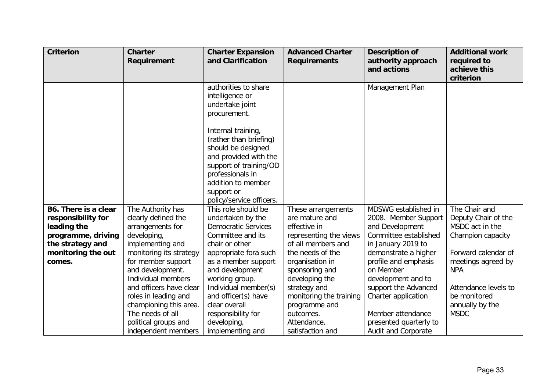| <b>Criterion</b>     | <b>Charter</b><br><b>Requirement</b> | <b>Charter Expansion</b><br>and Clarification                                                                                                                                                             | <b>Advanced Charter</b><br><b>Requirements</b> | <b>Description of</b><br>authority approach<br>and actions | <b>Additional work</b><br>required to<br>achieve this |
|----------------------|--------------------------------------|-----------------------------------------------------------------------------------------------------------------------------------------------------------------------------------------------------------|------------------------------------------------|------------------------------------------------------------|-------------------------------------------------------|
|                      |                                      |                                                                                                                                                                                                           |                                                |                                                            | criterion                                             |
|                      |                                      | authorities to share<br>intelligence or<br>undertake joint<br>procurement.                                                                                                                                |                                                | Management Plan                                            |                                                       |
|                      |                                      | Internal training,<br>(rather than briefing)<br>should be designed<br>and provided with the<br>support of training/OD<br>professionals in<br>addition to member<br>support or<br>policy/service officers. |                                                |                                                            |                                                       |
| B6. There is a clear | The Authority has                    | This role should be                                                                                                                                                                                       | These arrangements                             | MDSWG established in                                       | The Chair and                                         |
| responsibility for   | clearly defined the                  | undertaken by the                                                                                                                                                                                         | are mature and                                 | 2008. Member Support                                       | Deputy Chair of the                                   |
| leading the          | arrangements for                     | <b>Democratic Services</b>                                                                                                                                                                                | effective in                                   | and Development                                            | MSDC act in the                                       |
| programme, driving   | developing,                          | Committee and its                                                                                                                                                                                         | representing the views                         | Committee established                                      | Champion capacity                                     |
| the strategy and     | implementing and                     | chair or other                                                                                                                                                                                            | of all members and                             | in January 2019 to                                         |                                                       |
| monitoring the out   | monitoring its strategy              | appropriate fora such                                                                                                                                                                                     | the needs of the                               | demonstrate a higher                                       | Forward calendar of                                   |
| comes.               | for member support                   | as a member support                                                                                                                                                                                       | organisation in                                | profile and emphasis                                       | meetings agreed by                                    |
|                      | and development.                     | and development                                                                                                                                                                                           | sponsoring and                                 | on Member                                                  | <b>NPA</b>                                            |
|                      | Individual members                   | working group.                                                                                                                                                                                            | developing the                                 | development and to                                         |                                                       |
|                      | and officers have clear              | Individual member(s)                                                                                                                                                                                      | strategy and                                   | support the Advanced                                       | Attendance levels to                                  |
|                      | roles in leading and                 | and officer(s) have                                                                                                                                                                                       | monitoring the training                        | Charter application                                        | be monitored                                          |
|                      | championing this area.               | clear overall                                                                                                                                                                                             | programme and                                  |                                                            | annually by the                                       |
|                      | The needs of all                     | responsibility for                                                                                                                                                                                        | outcomes.                                      | Member attendance                                          | <b>MSDC</b>                                           |
|                      | political groups and                 | developing,                                                                                                                                                                                               | Attendance,                                    | presented quarterly to                                     |                                                       |
|                      | independent members                  | implementing and                                                                                                                                                                                          | satisfaction and                               | Audit and Corporate                                        |                                                       |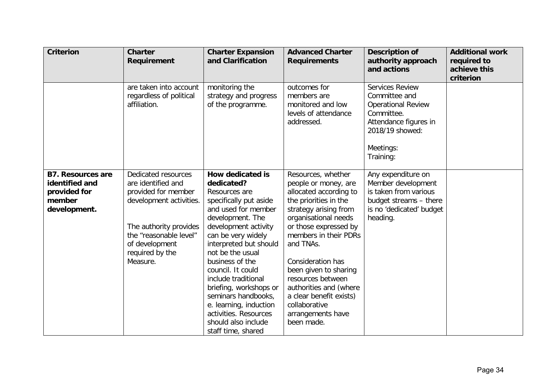| <b>Criterion</b>                                                                     | <b>Charter</b><br><b>Requirement</b>                                                                                                                                                             | <b>Charter Expansion</b><br>and Clarification                                                                                                                                                                                                                                                                                                                                                                                    | <b>Advanced Charter</b><br><b>Requirements</b>                                                                                                                                                                                                                                                                                                                                            | <b>Description of</b><br>authority approach<br>and actions                                                                                        | <b>Additional work</b><br>required to<br>achieve this<br>criterion |
|--------------------------------------------------------------------------------------|--------------------------------------------------------------------------------------------------------------------------------------------------------------------------------------------------|----------------------------------------------------------------------------------------------------------------------------------------------------------------------------------------------------------------------------------------------------------------------------------------------------------------------------------------------------------------------------------------------------------------------------------|-------------------------------------------------------------------------------------------------------------------------------------------------------------------------------------------------------------------------------------------------------------------------------------------------------------------------------------------------------------------------------------------|---------------------------------------------------------------------------------------------------------------------------------------------------|--------------------------------------------------------------------|
|                                                                                      | are taken into account<br>regardless of political<br>affiliation.                                                                                                                                | monitoring the<br>strategy and progress<br>of the programme.                                                                                                                                                                                                                                                                                                                                                                     | outcomes for<br>members are<br>monitored and low<br>levels of attendance<br>addressed.                                                                                                                                                                                                                                                                                                    | Services Review<br>Committee and<br><b>Operational Review</b><br>Committee.<br>Attendance figures in<br>2018/19 showed:<br>Meetings:<br>Training: |                                                                    |
| <b>B7. Resources are</b><br>identified and<br>provided for<br>member<br>development. | Dedicated resources<br>are identified and<br>provided for member<br>development activities.<br>The authority provides<br>the "reasonable level"<br>of development<br>required by the<br>Measure. | How dedicated is<br>dedicated?<br>Resources are<br>specifically put aside<br>and used for member<br>development. The<br>development activity<br>can be very widely<br>interpreted but should<br>not be the usual<br>business of the<br>council. It could<br>include traditional<br>briefing, workshops or<br>seminars handbooks,<br>e. learning, induction<br>activities. Resources<br>should also include<br>staff time, shared | Resources, whether<br>people or money, are<br>allocated according to<br>the priorities in the<br>strategy arising from<br>organisational needs<br>or those expressed by<br>members in their PDRs<br>and TNAs.<br>Consideration has<br>been given to sharing<br>resources between<br>authorities and (where<br>a clear benefit exists)<br>collaborative<br>arrangements have<br>been made. | Any expenditure on<br>Member development<br>is taken from various<br>budget streams - there<br>is no 'dedicated' budget<br>heading.               |                                                                    |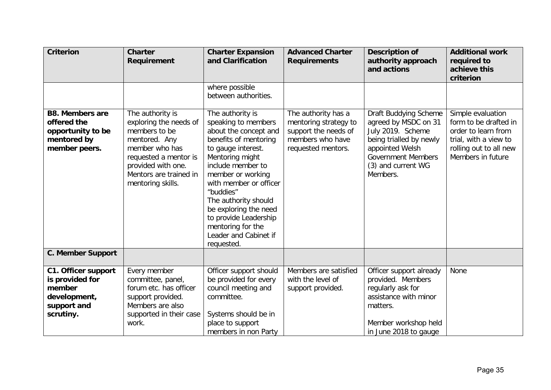| <b>Criterion</b>                                                                                    | <b>Charter</b><br>Requirement                                                                                                                                                                | <b>Charter Expansion</b><br>and Clarification                                                                                                                                                                                                                                                                                                             | <b>Advanced Charter</b><br><b>Requirements</b>                                                                 | <b>Description of</b><br>authority approach<br>and actions                                                                                                                      | <b>Additional work</b><br>required to<br>achieve this<br>criterion                                                                        |
|-----------------------------------------------------------------------------------------------------|----------------------------------------------------------------------------------------------------------------------------------------------------------------------------------------------|-----------------------------------------------------------------------------------------------------------------------------------------------------------------------------------------------------------------------------------------------------------------------------------------------------------------------------------------------------------|----------------------------------------------------------------------------------------------------------------|---------------------------------------------------------------------------------------------------------------------------------------------------------------------------------|-------------------------------------------------------------------------------------------------------------------------------------------|
|                                                                                                     |                                                                                                                                                                                              | where possible<br>between authorities.                                                                                                                                                                                                                                                                                                                    |                                                                                                                |                                                                                                                                                                                 |                                                                                                                                           |
| <b>B8. Members are</b><br>offered the<br>opportunity to be<br>mentored by<br>member peers.          | The authority is<br>exploring the needs of<br>members to be<br>mentored. Any<br>member who has<br>requested a mentor is<br>provided with one.<br>Mentors are trained in<br>mentoring skills. | The authority is<br>speaking to members<br>about the concept and<br>benefits of mentoring<br>to gauge interest.<br>Mentoring might<br>include member to<br>member or working<br>with member or officer<br>"buddies"<br>The authority should<br>be exploring the need<br>to provide Leadership<br>mentoring for the<br>Leader and Cabinet if<br>requested. | The authority has a<br>mentoring strategy to<br>support the needs of<br>members who have<br>requested mentors. | Draft Buddying Scheme<br>agreed by MSDC on 31<br>July 2019. Scheme<br>being trialled by newly<br>appointed Welsh<br><b>Government Members</b><br>(3) and current WG<br>Members. | Simple evaluation<br>form to be drafted in<br>order to learn from<br>trial, with a view to<br>rolling out to all new<br>Members in future |
| <b>C. Member Support</b>                                                                            |                                                                                                                                                                                              |                                                                                                                                                                                                                                                                                                                                                           |                                                                                                                |                                                                                                                                                                                 |                                                                                                                                           |
| <b>C1. Officer support</b><br>is provided for<br>member<br>development,<br>support and<br>scrutiny. | Every member<br>committee, panel,<br>forum etc. has officer<br>support provided.<br>Members are also<br>supported in their case<br>work.                                                     | Officer support should<br>be provided for every<br>council meeting and<br>committee.<br>Systems should be in<br>place to support                                                                                                                                                                                                                          | Members are satisfied<br>with the level of<br>support provided.                                                | Officer support already<br>provided. Members<br>regularly ask for<br>assistance with minor<br>matters.<br>Member workshop held                                                  | None                                                                                                                                      |
|                                                                                                     |                                                                                                                                                                                              | members in non Party                                                                                                                                                                                                                                                                                                                                      |                                                                                                                | in June 2018 to gauge                                                                                                                                                           |                                                                                                                                           |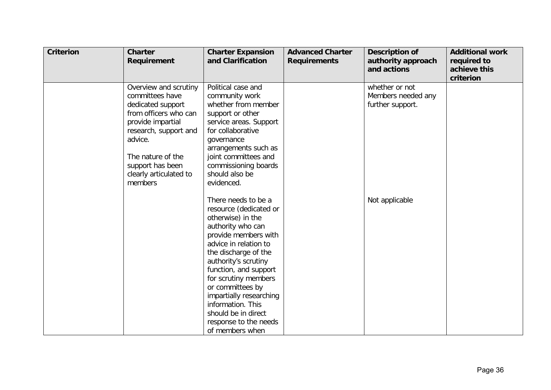| <b>Criterion</b> | <b>Charter</b><br>Requirement                                                                                                                                                                                                 | <b>Charter Expansion</b><br>and Clarification                                                                                                                                                                                                                                                                                                                                    | <b>Advanced Charter</b><br><b>Requirements</b> | <b>Description of</b><br>authority approach<br>and actions | <b>Additional work</b><br>required to<br>achieve this<br>criterion |
|------------------|-------------------------------------------------------------------------------------------------------------------------------------------------------------------------------------------------------------------------------|----------------------------------------------------------------------------------------------------------------------------------------------------------------------------------------------------------------------------------------------------------------------------------------------------------------------------------------------------------------------------------|------------------------------------------------|------------------------------------------------------------|--------------------------------------------------------------------|
|                  | Overview and scrutiny<br>committees have<br>dedicated support<br>from officers who can<br>provide impartial<br>research, support and<br>advice.<br>The nature of the<br>support has been<br>clearly articulated to<br>members | Political case and<br>community work<br>whether from member<br>support or other<br>service areas. Support<br>for collaborative<br>governance<br>arrangements such as<br>joint committees and<br>commissioning boards<br>should also be<br>evidenced.                                                                                                                             |                                                | whether or not<br>Members needed any<br>further support.   |                                                                    |
|                  |                                                                                                                                                                                                                               | There needs to be a<br>resource (dedicated or<br>otherwise) in the<br>authority who can<br>provide members with<br>advice in relation to<br>the discharge of the<br>authority's scrutiny<br>function, and support<br>for scrutiny members<br>or committees by<br>impartially researching<br>information. This<br>should be in direct<br>response to the needs<br>of members when |                                                | Not applicable                                             |                                                                    |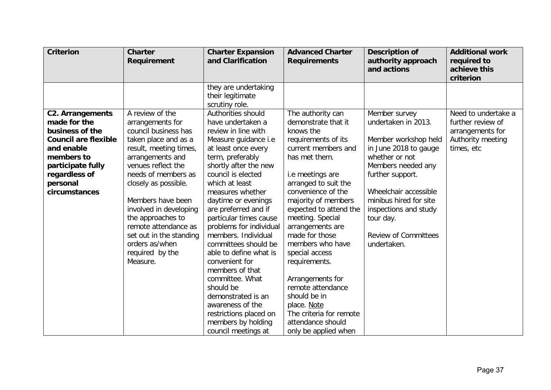| Member survey<br>undertaken in 2013.<br>Member workshop held<br>in June 2018 to gauge<br>whether or not<br>Members needed any<br>further support.<br>Wheelchair accessible<br>minibus hired for site<br>inspections and study<br>tour day.<br><b>Review of Committees</b><br>undertaken. | Need to undertake a<br>further review of<br>arrangements for<br>Authority meeting<br>times, etc |
|------------------------------------------------------------------------------------------------------------------------------------------------------------------------------------------------------------------------------------------------------------------------------------------|-------------------------------------------------------------------------------------------------|
|                                                                                                                                                                                                                                                                                          |                                                                                                 |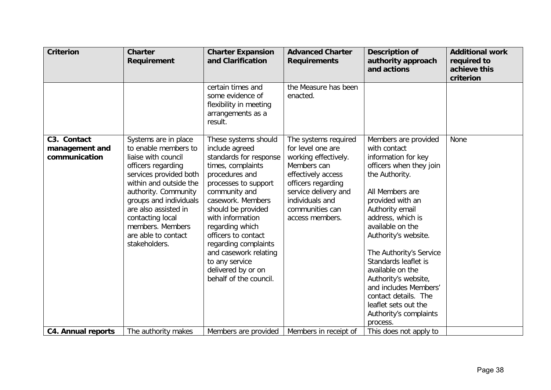| <b>Criterion</b>                               | <b>Charter</b><br>Requirement                                                                                                                                                                                                                                                                           | <b>Charter Expansion</b><br>and Clarification                                                                                                                                                                                                                                                                                                                                | <b>Advanced Charter</b><br><b>Requirements</b>                                                                                                                                                                | <b>Description of</b><br>authority approach<br>and actions                                                                                                                                                                                                                                                                                                                                                                                        | <b>Additional work</b><br>required to<br>achieve this<br>criterion |
|------------------------------------------------|---------------------------------------------------------------------------------------------------------------------------------------------------------------------------------------------------------------------------------------------------------------------------------------------------------|------------------------------------------------------------------------------------------------------------------------------------------------------------------------------------------------------------------------------------------------------------------------------------------------------------------------------------------------------------------------------|---------------------------------------------------------------------------------------------------------------------------------------------------------------------------------------------------------------|---------------------------------------------------------------------------------------------------------------------------------------------------------------------------------------------------------------------------------------------------------------------------------------------------------------------------------------------------------------------------------------------------------------------------------------------------|--------------------------------------------------------------------|
|                                                |                                                                                                                                                                                                                                                                                                         | certain times and<br>some evidence of<br>flexibility in meeting<br>arrangements as a<br>result.                                                                                                                                                                                                                                                                              | the Measure has been<br>enacted.                                                                                                                                                                              |                                                                                                                                                                                                                                                                                                                                                                                                                                                   |                                                                    |
| C3. Contact<br>management and<br>communication | Systems are in place<br>to enable members to<br>liaise with council<br>officers regarding<br>services provided both<br>within and outside the<br>authority. Community<br>groups and individuals<br>are also assisted in<br>contacting local<br>members. Members<br>are able to contact<br>stakeholders. | These systems should<br>include agreed<br>standards for response<br>times, complaints<br>procedures and<br>processes to support<br>community and<br>casework. Members<br>should be provided<br>with information<br>regarding which<br>officers to contact<br>regarding complaints<br>and casework relating<br>to any service<br>delivered by or on<br>behalf of the council. | The systems required<br>for level one are<br>working effectively.<br>Members can<br>effectively access<br>officers regarding<br>service delivery and<br>individuals and<br>communities can<br>access members. | Members are provided<br>with contact<br>information for key<br>officers when they join<br>the Authority.<br>All Members are<br>provided with an<br>Authority email<br>address, which is<br>available on the<br>Authority's website.<br>The Authority's Service<br>Standards leaflet is<br>available on the<br>Authority's website,<br>and includes Members'<br>contact details. The<br>leaflet sets out the<br>Authority's complaints<br>process. | None                                                               |
| <b>C4. Annual reports</b>                      | The authority makes                                                                                                                                                                                                                                                                                     | Members are provided                                                                                                                                                                                                                                                                                                                                                         | Members in receipt of                                                                                                                                                                                         | This does not apply to                                                                                                                                                                                                                                                                                                                                                                                                                            |                                                                    |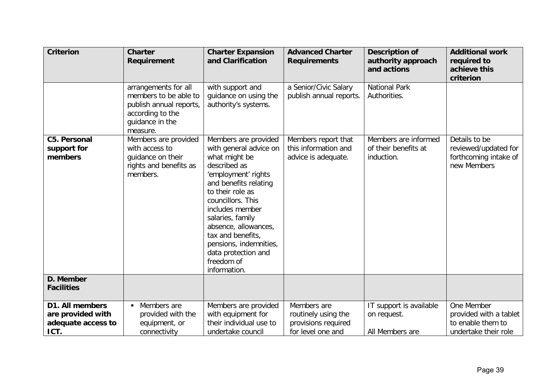| <b>Criterion</b>                                                   | <b>Charter</b><br>Requirement                                                                                               | <b>Charter Expansion</b><br>and Clarification                                                                                                                                                                                                                                                                                               | <b>Advanced Charter</b><br><b>Requirements</b>                                 | <b>Description of</b><br>authority approach<br>and actions | <b>Additional work</b><br>required to<br>achieve this<br>criterion                |
|--------------------------------------------------------------------|-----------------------------------------------------------------------------------------------------------------------------|---------------------------------------------------------------------------------------------------------------------------------------------------------------------------------------------------------------------------------------------------------------------------------------------------------------------------------------------|--------------------------------------------------------------------------------|------------------------------------------------------------|-----------------------------------------------------------------------------------|
|                                                                    | arrangements for all<br>members to be able to<br>publish annual reports,<br>according to the<br>guidance in the<br>measure. | with support and<br>guidance on using the<br>authority's systems.                                                                                                                                                                                                                                                                           | a Senior/Civic Salary<br>publish annual reports.                               | <b>National Park</b><br>Authorities.                       |                                                                                   |
| <b>C5. Personal</b><br>support for<br>members                      | Members are provided<br>with access to<br>guidance on their<br>rights and benefits as<br>members.                           | Members are provided<br>with general advice on<br>what might be<br>described as<br>'employment' rights<br>and benefits relating<br>to their role as<br>councillors. This<br>includes member<br>salaries, family<br>absence, allowances,<br>tax and benefits,<br>pensions, indemnities,<br>data protection and<br>freedom of<br>information. | Members report that<br>this information and<br>advice is adequate.             | Members are informed<br>of their benefits at<br>induction. | Details to be<br>reviewed/updated for<br>forthcoming intake of<br>new Members     |
| D. Member<br><b>Facilities</b>                                     |                                                                                                                             |                                                                                                                                                                                                                                                                                                                                             |                                                                                |                                                            |                                                                                   |
| D1. All members<br>are provided with<br>adequate access to<br>ICT. | Members are<br>provided with the<br>equipment, or<br>connectivity                                                           | Members are provided<br>with equipment for<br>their individual use to<br>undertake council                                                                                                                                                                                                                                                  | Members are<br>routinely using the<br>provisions required<br>for level one and | IT support is available<br>on request.<br>All Members are  | One Member<br>provided with a tablet<br>to enable them to<br>undertake their role |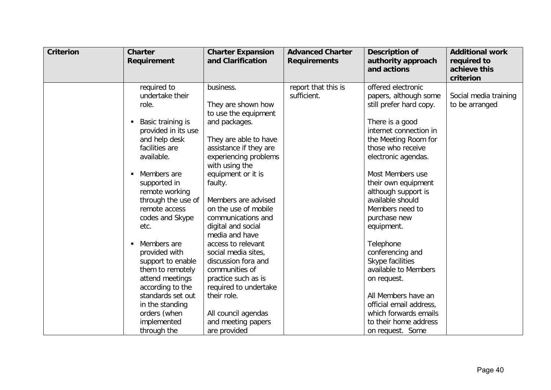| <b>Criterion</b> | <b>Charter</b><br>Requirement                                                                                                                                                                                                                                                                                                                                                                  | <b>Charter Expansion</b><br>and Clarification                                                                                                                                                                                                                                                                                                                                                                                                              | <b>Advanced Charter</b><br><b>Requirements</b> | <b>Description of</b><br>authority approach<br>and actions                                                                                                                                                                                                                                                                                                                                                                 | <b>Additional work</b><br>required to<br>achieve this<br>criterion |
|------------------|------------------------------------------------------------------------------------------------------------------------------------------------------------------------------------------------------------------------------------------------------------------------------------------------------------------------------------------------------------------------------------------------|------------------------------------------------------------------------------------------------------------------------------------------------------------------------------------------------------------------------------------------------------------------------------------------------------------------------------------------------------------------------------------------------------------------------------------------------------------|------------------------------------------------|----------------------------------------------------------------------------------------------------------------------------------------------------------------------------------------------------------------------------------------------------------------------------------------------------------------------------------------------------------------------------------------------------------------------------|--------------------------------------------------------------------|
|                  | required to<br>undertake their<br>role.<br>Basic training is<br>provided in its use<br>and help desk<br>facilities are<br>available.<br>Members are<br>п<br>supported in<br>remote working<br>through the use of<br>remote access<br>codes and Skype<br>etc.<br>Members are<br>$\blacksquare$<br>provided with<br>support to enable<br>them to remotely<br>attend meetings<br>according to the | business.<br>They are shown how<br>to use the equipment<br>and packages.<br>They are able to have<br>assistance if they are<br>experiencing problems<br>with using the<br>equipment or it is<br>faulty.<br>Members are advised<br>on the use of mobile<br>communications and<br>digital and social<br>media and have<br>access to relevant<br>social media sites,<br>discussion fora and<br>communities of<br>practice such as is<br>required to undertake | report that this is<br>sufficient.             | offered electronic<br>papers, although some<br>still prefer hard copy.<br>There is a good<br>internet connection in<br>the Meeting Room for<br>those who receive<br>electronic agendas.<br>Most Members use<br>their own equipment<br>although support is<br>available should<br>Members need to<br>purchase new<br>equipment.<br>Telephone<br>conferencing and<br>Skype facilities<br>available to Members<br>on request. | Social media training<br>to be arranged                            |
|                  | standards set out<br>in the standing<br>orders (when<br>implemented<br>through the                                                                                                                                                                                                                                                                                                             | their role.<br>All council agendas<br>and meeting papers<br>are provided                                                                                                                                                                                                                                                                                                                                                                                   |                                                | All Members have an<br>official email address,<br>which forwards emails<br>to their home address<br>on request. Some                                                                                                                                                                                                                                                                                                       |                                                                    |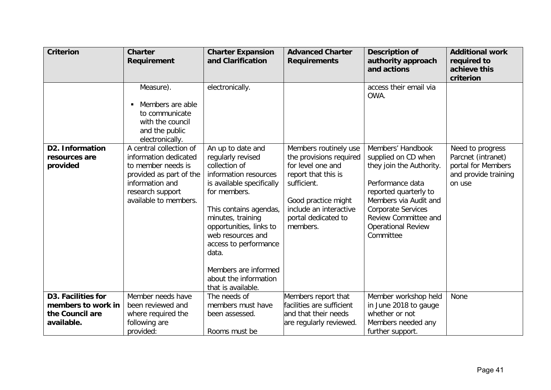| <b>Criterion</b>                                    | <b>Charter</b><br>Requirement                                                                                                                                     | <b>Charter Expansion</b><br>and Clarification                                                                                                                                                                                                                                                                                         | <b>Advanced Charter</b><br><b>Requirements</b>                                                                                                                                                  | <b>Description of</b><br>authority approach<br>and actions                                                                                                                                                                                | <b>Additional work</b><br>required to<br>achieve this<br>criterion                             |
|-----------------------------------------------------|-------------------------------------------------------------------------------------------------------------------------------------------------------------------|---------------------------------------------------------------------------------------------------------------------------------------------------------------------------------------------------------------------------------------------------------------------------------------------------------------------------------------|-------------------------------------------------------------------------------------------------------------------------------------------------------------------------------------------------|-------------------------------------------------------------------------------------------------------------------------------------------------------------------------------------------------------------------------------------------|------------------------------------------------------------------------------------------------|
|                                                     | Measure).<br>Members are able<br>to communicate<br>with the council<br>and the public<br>electronically.                                                          | electronically.                                                                                                                                                                                                                                                                                                                       |                                                                                                                                                                                                 | access their email via<br>OWA.                                                                                                                                                                                                            |                                                                                                |
| <b>D2. Information</b><br>resources are<br>provided | A central collection of<br>information dedicated<br>to member needs is<br>provided as part of the<br>information and<br>research support<br>available to members. | An up to date and<br>regularly revised<br>collection of<br>information resources<br>is available specifically<br>for members.<br>This contains agendas,<br>minutes, training<br>opportunities, links to<br>web resources and<br>access to performance<br>data.<br>Members are informed<br>about the information<br>that is available. | Members routinely use<br>the provisions required<br>for level one and<br>report that this is<br>sufficient.<br>Good practice might<br>include an interactive<br>portal dedicated to<br>members. | Members' Handbook<br>supplied on CD when<br>they join the Authority.<br>Performance data<br>reported quarterly to<br>Members via Audit and<br><b>Corporate Services</b><br>Review Committee and<br><b>Operational Review</b><br>Committee | Need to progress<br>Parcnet (intranet)<br>portal for Members<br>and provide training<br>on use |
| <b>D3. Facilities for</b><br>members to work in     | Member needs have<br>been reviewed and                                                                                                                            | The needs of<br>members must have                                                                                                                                                                                                                                                                                                     | Members report that<br>facilities are sufficient                                                                                                                                                | Member workshop held<br>in June 2018 to gauge                                                                                                                                                                                             | None                                                                                           |
| the Council are<br>available.                       | where required the<br>following are<br>provided:                                                                                                                  | been assessed.<br>Rooms must be                                                                                                                                                                                                                                                                                                       | and that their needs<br>are regularly reviewed.                                                                                                                                                 | whether or not<br>Members needed any<br>further support.                                                                                                                                                                                  |                                                                                                |